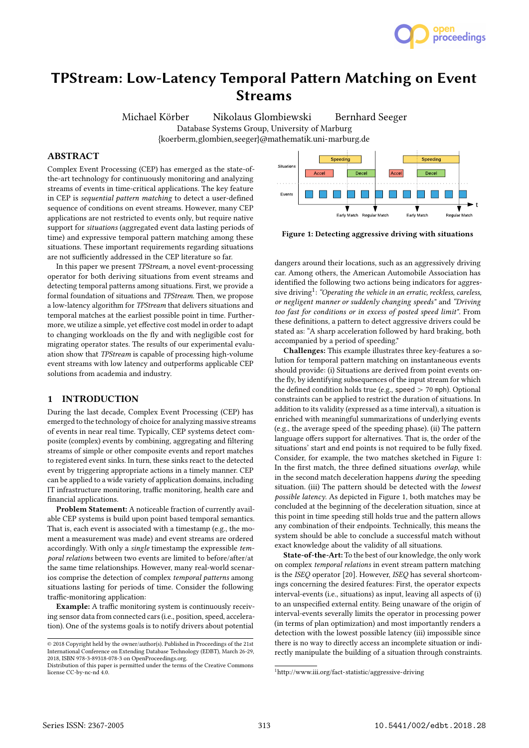

# TPStream: Low-Latency Temporal Pattern Matching on Event Streams

Michael Körber Nikolaus Glombiewski Bernhard Seeger Database Systems Group, University of Marburg {koerberm,glombien,seeger}@mathematik.uni-marburg.de

# ABSTRACT

Complex Event Processing (CEP) has emerged as the state-ofthe-art technology for continuously monitoring and analyzing streams of events in time-critical applications. The key feature in CEP is sequential pattern matching to detect a user-defined sequence of conditions on event streams. However, many CEP applications are not restricted to events only, but require native support for situations (aggregated event data lasting periods of time) and expressive temporal pattern matching among these situations. These important requirements regarding situations are not sufficiently addressed in the CEP literature so far.

In this paper we present TPStream, a novel event-processing operator for both deriving situations from event streams and detecting temporal patterns among situations. First, we provide a formal foundation of situations and TPStream. Then, we propose a low-latency algorithm for TPStream that delivers situations and temporal matches at the earliest possible point in time. Furthermore, we utilize a simple, yet effective cost model in order to adapt to changing workloads on the fly and with negligible cost for migrating operator states. The results of our experimental evaluation show that TPStream is capable of processing high-volume event streams with low latency and outperforms applicable CEP solutions from academia and industry.

#### 1 INTRODUCTION

During the last decade, Complex Event Processing (CEP) has emerged to the technology of choice for analyzing massive streams of events in near real time. Typically, CEP systems detect composite (complex) events by combining, aggregating and filtering streams of simple or other composite events and report matches to registered event sinks. In turn, these sinks react to the detected event by triggering appropriate actions in a timely manner. CEP can be applied to a wide variety of application domains, including IT infrastructure monitoring, traffic monitoring, health care and financial applications.

Problem Statement: A noticeable fraction of currently available CEP systems is build upon point based temporal semantics. That is, each event is associated with a timestamp (e.g., the moment a measurement was made) and event streams are ordered accordingly. With only a single timestamp the expressible temporal relations between two events are limited to before/after/at the same time relationships. However, many real-world scenarios comprise the detection of complex temporal patterns among situations lasting for periods of time. Consider the following traffic-monitoring application:

Example: A traffic monitoring system is continuously receiving sensor data from connected cars (i.e., position, speed, acceleration). One of the systems goals is to notify drivers about potential



Figure 1: Detecting aggressive driving with situations

dangers around their locations, such as an aggressively driving car. Among others, the American Automobile Association has identified the following two actions being indicators for aggressive driving<sup>1</sup>: "Operating the vehicle in an erratic, reckless, careless, or negligent manner or suddenly changing speeds" and "Driving too fast for conditions or in excess of posted speed limit". From these definitions, a pattern to detect aggressive drivers could be stated as: "A sharp acceleration followed by hard braking, both accompanied by a period of speeding."

Challenges: This example illustrates three key-features a solution for temporal pattern matching on instantaneous events should provide: (i) Situations are derived from point events onthe fly, by identifying subsequences of the input stream for which the defined condition holds true (e.g., speed  $>$  70 mph). Optional constraints can be applied to restrict the duration of situations. In addition to its validity (expressed as a time interval), a situation is enriched with meaningful summarizations of underlying events (e.g., the average speed of the speeding phase). (ii) The pattern language offers support for alternatives. That is, the order of the situations' start and end points is not required to be fully fixed. Consider, for example, the two matches sketched in Figure 1: In the first match, the three defined situations overlap, while in the second match deceleration happens during the speeding situation. (iii) The pattern should be detected with the lowest possible latency. As depicted in Figure 1, both matches may be concluded at the beginning of the deceleration situation, since at this point in time speeding still holds true and the pattern allows any combination of their endpoints. Technically, this means the system should be able to conclude a successful match without exact knowledge about the validity of all situations.

State-of-the-Art: To the best of our knowledge, the only work on complex temporal relations in event stream pattern matching is the ISEQ operator [20]. However, ISEQ has several shortcomings concerning the desired features: First, the operator expects interval-events (i.e., situations) as input, leaving all aspects of (i) to an unspecified external entity. Being unaware of the origin of interval-events severally limits the operator in processing power (in terms of plan optimization) and most importantly renders a detection with the lowest possible latency (iii) impossible since there is no way to directly access an incomplete situation or indirectly manipulate the building of a situation through constraints.

<sup>©</sup> 2018 Copyright held by the owner/author(s). Published in Proceedings of the 21st International Conference on Extending Database Technology (EDBT), March 26-29, 2018, ISBN 978-3-89318-078-3 on OpenProceedings.org.

Distribution of this paper is permitted under the terms of the Creative Commons license CC-by-nc-nd 4.0.

<sup>1</sup>http://www.iii.org/fact-statistic/aggressive-driving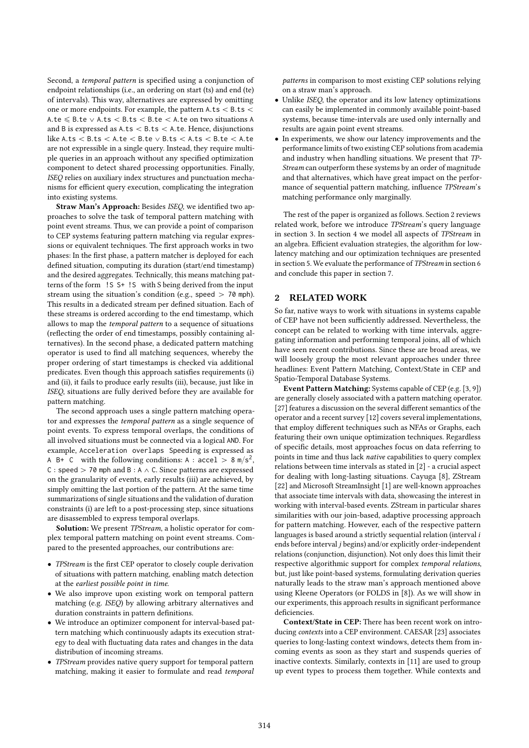Second, a temporal pattern is specified using a conjunction of endpoint relationships (i.e., an ordering on start (ts) and end (te) of intervals). This way, alternatives are expressed by omitting one or more endpoints. For example, the pattern  $A.ts < B.ts <$ A.te  $\leq$  B.te  $\vee$  A.ts  $\leq$  B.ts  $\leq$  B.te  $\leq$  A.te on two situations A and B is expressed as  $A.ts < B.ts < A.te$ . Hence, disjunctions like A.ts  $<$  B.ts  $<$  A.te  $<$  B.te  $\vee$  B.ts  $<$  A.ts  $<$  B.te  $<$  A.te are not expressible in a single query. Instead, they require multiple queries in an approach without any specified optimization component to detect shared processing opportunities. Finally, ISEQ relies on auxiliary index structures and punctuation mechanisms for efficient query execution, complicating the integration into existing systems.

Straw Man's Approach: Besides ISEQ, we identified two approaches to solve the task of temporal pattern matching with point event streams. Thus, we can provide a point of comparison to CEP systems featuring pattern matching via regular expressions or equivalent techniques. The first approach works in two phases: In the first phase, a pattern matcher is deployed for each defined situation, computing its duration (start/end timestamp) and the desired aggregates. Technically, this means matching patterns of the form !S S+ !S with S being derived from the input stream using the situation's condition (e.g., speed  $> 70$  mph). This results in a dedicated stream per defined situation. Each of these streams is ordered according to the end timestamp, which allows to map the temporal pattern to a sequence of situations (reflecting the order of end timestamps, possibly containing alternatives). In the second phase, a dedicated pattern matching operator is used to find all matching sequences, whereby the proper ordering of start timestamps is checked via additional predicates. Even though this approach satisfies requirements (i) and (ii), it fails to produce early results (iii), because, just like in ISEQ, situations are fully derived before they are available for pattern matching.

The second approach uses a single pattern matching operator and expresses the temporal pattern as a single sequence of point events. To express temporal overlaps, the conditions of all involved situations must be connected via a logical AND. For example, Acceleration overlaps Speeding is expressed as A B+ C with the following conditions: A :  $\text{accel} > 8 \text{ m/s}^2$ , C : speed  $>$  70 mph and B : A  $\wedge$  C. Since patterns are expressed on the granularity of events, early results (iii) are achieved, by simply omitting the last portion of the pattern. At the same time summarizations of single situations and the validation of duration constraints (i) are left to a post-processing step, since situations are disassembled to express temporal overlaps.

Solution: We present TPStream, a holistic operator for complex temporal pattern matching on point event streams. Compared to the presented approaches, our contributions are:

- ' TPStream is the first CEP operator to closely couple derivation of situations with pattern matching, enabling match detection at the earliest possible point in time.
- ' We also improve upon existing work on temporal pattern matching (e.g. ISEQ) by allowing arbitrary alternatives and duration constraints in pattern definitions.
- ' We introduce an optimizer component for interval-based pattern matching which continuously adapts its execution strategy to deal with fluctuating data rates and changes in the data distribution of incoming streams.
- TPStream provides native query support for temporal pattern matching, making it easier to formulate and read temporal

patterns in comparison to most existing CEP solutions relying on a straw man's approach.

- ' Unlike ISEQ, the operator and its low latency optimizations can easily be implemented in commonly available point-based systems, because time-intervals are used only internally and results are again point event streams.
- ' In experiments, we show our latency improvements and the performance limits of two existing CEP solutions from academia and industry when handling situations. We present that TP-Stream can outperform these systems by an order of magnitude and that alternatives, which have great impact on the performance of sequential pattern matching, influence TPStream's matching performance only marginally.

The rest of the paper is organized as follows. Section 2 reviews related work, before we introduce TPStream's query language in section 3. In section 4 we model all aspects of TPStream in an algebra. Efficient evaluation strategies, the algorithm for lowlatency matching and our optimization techniques are presented in section 5. We evaluate the performance of TPStream in section 6 and conclude this paper in section 7.

# 2 RELATED WORK

So far, native ways to work with situations in systems capable of CEP have not been sufficiently addressed. Nevertheless, the concept can be related to working with time intervals, aggregating information and performing temporal joins, all of which have seen recent contributions. Since these are broad areas, we will loosely group the most relevant approaches under three headlines: Event Pattern Matching, Context/State in CEP and Spatio-Temporal Database Systems.

Event Pattern Matching: Systems capable of CEP (e.g. [3, 9]) are generally closely associated with a pattern matching operator. [27] features a discussion on the several different semantics of the operator and a recent survey [12] covers several implementations, that employ different techniques such as NFAs or Graphs, each featuring their own unique optimization techniques. Regardless of specific details, most approaches focus on data referring to points in time and thus lack native capabilities to query complex relations between time intervals as stated in [2] - a crucial aspect for dealing with long-lasting situations. Cayuga [8], ZStream [22] and Microsoft StreamInsight [1] are well-known approaches that associate time intervals with data, showcasing the interest in working with interval-based events. ZStream in particular shares similarities with our join-based, adaptive processing approach for pattern matching. However, each of the respective pattern languages is based around a strictly sequential relation (interval i ends before interval j begins) and/or explicitly order-independent relations (conjunction, disjunction). Not only does this limit their respective algorithmic support for complex temporal relations, but, just like point-based systems, formulating derivation queries naturally leads to the straw man's approach mentioned above using Kleene Operators (or FOLDS in [8]). As we will show in our experiments, this approach results in significant performance deficiencies.

Context/State in CEP: There has been recent work on introducing contexts into a CEP environment. CAESAR [23] associates queries to long-lasting context windows, detects them from incoming events as soon as they start and suspends queries of inactive contexts. Similarly, contexts in [11] are used to group up event types to process them together. While contexts and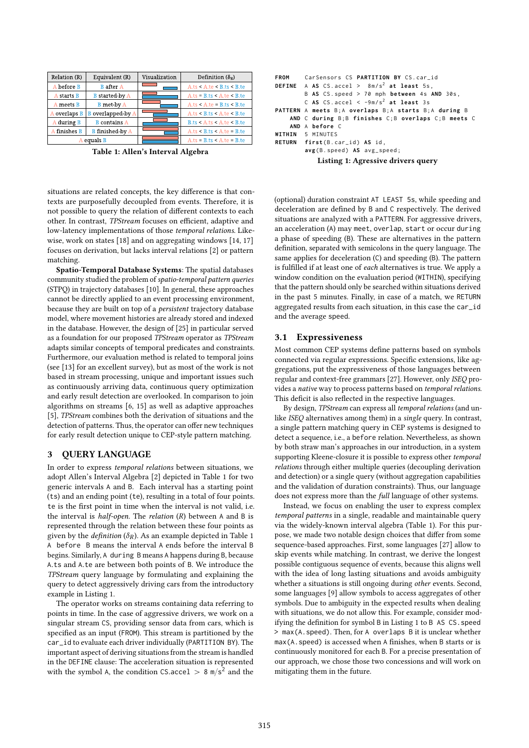| Relation (R) | Equivalent (R)           | Visualization | Definition $(\delta_{R})$       |
|--------------|--------------------------|---------------|---------------------------------|
| A before B   | <b>B</b> after A         |               | A.ts < A(te < B.ts < B(te       |
| A starts B   | <b>B</b> started-by A    |               | $A.ts = B.ts < A.test < B.test$ |
| A meets B    | <b>B</b> met-by A        |               | $A.ts < A(te = B.ts < B(te$     |
| A overlaps B | <b>B</b> overlapped-by A |               | A.ts < B.ts < A.test < B.te     |
| A during B   | <b>B</b> contains A      |               | B.ts < A.ts < A.test < B.te     |
| A finishes B | <b>B</b> finished-by A   |               | $A.ts < B.ts < A.test = B.te$   |
| A equals B   |                          |               | $A.ts = B.ts < A.test = B.test$ |

Table 1: Allen's Interval Algebra

situations are related concepts, the key difference is that contexts are purposefully decoupled from events. Therefore, it is not possible to query the relation of different contexts to each other. In contrast, TPStream focuses on efficient, adaptive and low-latency implementations of those temporal relations. Likewise, work on states [18] and on aggregating windows [14, 17] focuses on derivation, but lacks interval relations [2] or pattern matching.

Spatio-Temporal Database Systems: The spatial databases community studied the problem of spatio-temporal pattern queries (STPQ) in trajectory databases [10]. In general, these approaches cannot be directly applied to an event processing environment, because they are built on top of a persistent trajectory database model, where movement histories are already stored and indexed in the database. However, the design of [25] in particular served as a foundation for our proposed TPStream operator as TPStream adapts similar concepts of temporal predicates and constraints. Furthermore, our evaluation method is related to temporal joins (see [13] for an excellent survey), but as most of the work is not based in stream processing, unique and important issues such as continuously arriving data, continuous query optimization and early result detection are overlooked. In comparison to join algorithms on streams [6, 15] as well as adaptive approaches [5], TPStream combines both the derivation of situations and the detection of patterns. Thus, the operator can offer new techniques for early result detection unique to CEP-style pattern matching.

# 3 QUERY LANGUAGE

In order to express temporal relations between situations, we adopt Allen's Interval Algebra [2] depicted in Table 1 for two generic intervals A and B. Each interval has a starting point (ts) and an ending point (te), resulting in a total of four points. te is the first point in time when the interval is not valid, i.e. the interval is *half-open*. The *relation*  $(R)$  between A and B is represented through the relation between these four points as given by the *definition* ( $\delta_R$ ). As an example depicted in Table 1 A before B means the interval A ends before the interval B begins. Similarly, A during B means A happens during B, because <sup>A</sup>.ts and <sup>A</sup>.te are between both points of <sup>B</sup>. We introduce the TPStream query language by formulating and explaining the query to detect aggressively driving cars from the introductory example in Listing 1.

The operator works on streams containing data referring to points in time. In the case of aggressive drivers, we work on a singular stream CS, providing sensor data from cars, which is specified as an input (FROM). This stream is partitioned by the car\_id to evaluate each driver individually (PARTITION BY). The important aspect of deriving situations from the stream is handled in the DEFINE clause: The acceleration situation is represented with the symbol A, the condition CS.accel  $> 8 \text{ m/s}^2$  and the

```
FROM CarSensors CS PARTITION BY CS . car_id
DEFINE A AS CS . accel > 8 m / s2
at least 5s ,
        B AS CS. speed > 70 mph between 4s AND 30s,
        C AS CS.accel < -9m/s^2 at least 3s
PATTERN A meets B ; A overlaps B ; A starts B ; A during B
    AND C during B ; B finishes C ; B overlaps C ; B meets C
    AND A before C
WITHIN 5 MINUTES
RETURN first(B.car_id) AS id,
        avg ( B . speed ) AS avg_speed ;
            Listing 1: Agressive drivers query
```
(optional) duration constraint AT LEAST 5s, while speeding and deceleration are defined by B and C respectively. The derived situations are analyzed with a PATTERN. For aggressive drivers, an acceleration (A) may meet, overlap, start or occur during a phase of speeding (B). These are alternatives in the pattern definition, separated with semicolons in the query language. The same applies for deceleration (C) and speeding (B). The pattern is fulfilled if at least one of each alternatives is true. We apply a window condition on the evaluation period (WITHIN), specifying that the pattern should only be searched within situations derived in the past 5 minutes. Finally, in case of a match, we RETURN aggregated results from each situation, in this case the car\_id and the average speed.

#### 3.1 Expressiveness

Most common CEP systems define patterns based on symbols connected via regular expressions. Specific extensions, like aggregations, put the expressiveness of those languages between regular and context-free grammars [27]. However, only ISEQ provides a native way to process patterns based on temporal relations. This deficit is also reflected in the respective languages.

By design, TPStream can express all temporal relations (and unlike ISEQ alternatives among them) in a single query. In contrast, a single pattern matching query in CEP systems is designed to detect a sequence, i.e., a before relation. Nevertheless, as shown by both straw man's approaches in our introduction, in a system supporting Kleene-closure it is possible to express other temporal relations through either multiple queries (decoupling derivation and detection) or a single query (without aggregation capabilities and the validation of duration constraints). Thus, our language does not express more than the full language of other systems.

Instead, we focus on enabling the user to express complex temporal patterns in a single, readable and maintainable query via the widely-known interval algebra (Table 1). For this purpose, we made two notable design choices that differ from some sequence-based approaches. First, some languages [27] allow to skip events while matching. In contrast, we derive the longest possible contiguous sequence of events, because this aligns well with the idea of long lasting situations and avoids ambiguity whether a situations is still ongoing during other events. Second, some languages [9] allow symbols to access aggregates of other symbols. Due to ambiguity in the expected results when dealing with situations, we do not allow this. For example, consider modifying the definition for symbol B in Listing 1 to B AS CS.speed > max(A.speed). Then, for A overlaps B it is unclear whether max(A.speed) is accessed when A finishes, when B starts or is continuously monitored for each B. For a precise presentation of our approach, we chose those two concessions and will work on mitigating them in the future.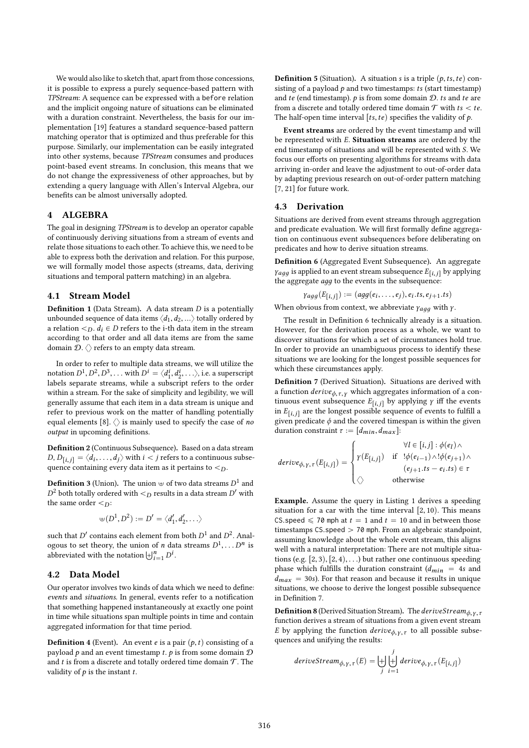We would also like to sketch that, apart from those concessions, it is possible to express a purely sequence-based pattern with TPStream: A sequence can be expressed with a before relation and the implicit ongoing nature of situations can be eliminated with a duration constraint. Nevertheless, the basis for our implementation [19] features a standard sequence-based pattern matching operator that is optimized and thus preferable for this purpose. Similarly, our implementation can be easily integrated into other systems, because TPStream consumes and produces point-based event streams. In conclusion, this means that we do not change the expressiveness of other approaches, but by extending a query language with Allen's Interval Algebra, our benefits can be almost universally adopted.

## 4 ALGEBRA

The goal in designing TPStream is to develop an operator capable of continuously deriving situations from a stream of events and relate those situations to each other. To achieve this, we need to be able to express both the derivation and relation. For this purpose, we will formally model those aspects (streams, data, deriving situations and temporal pattern matching) in an algebra.

#### 4.1 Stream Model

**Definition 1** (Data Stream). A data stream  $D$  is a potentially unbounded sequence of data items  $\langle d_1, d_2, \ldots \rangle$  totally ordered by a relation  $\leq_D$ .  $d_i \in D$  refers to the i-th data item in the stream according to that order and all data items are from the same domain  $\mathcal{D}.\langle\rangle$  refers to an empty data stream.

In order to refer to multiple data streams, we will utilize the notation  $D^1, D^2, D^3, \ldots$  with  $D^i = \langle d_1^i, d_2^i, \ldots \rangle$ , i.e. a superscript<br>labels separate streams, while a subscript refers to the order  $\binom{n_1, n_2, \ldots, n_{\text{max}}}{n_1, n_2, \ldots, n_{\text{max}}}$  and  $\binom{n_1, n_2, \ldots, n_{\text{max}}}{n_1, n_2, \ldots, n_{\text{max}}}$ within a stream. For the sake of simplicity and legibility, we will generally assume that each item in a data stream is unique and refer to previous work on the matter of handling potentially equal elements [8].  $\langle \rangle$  is mainly used to specify the case of no output in upcoming definitions.

Definition 2 (Continuous Subsequence). Based on a data stream  $D, D_{[i,j]} = \langle d_i, \ldots, d_j \rangle$  with  $i < j$  refers to a continuous subsequence containing every data item as it pertains to  $\leq D$ quence containing every data item as it pertains to  $\lt_D$ .

**Definition 3** (Union). The union  $\oplus$  of two data streams  $D^1$  and  $D^2$  both totally ordered with  $\leq_D$  results in a data stream  $D'$  with the same order  $\leq_D$ : <sup>2</sup> both totally ordered with  $\lt_D$  results in a data stream D' with

$$
\forall (D^1, D^2) := D' = \langle d'_1, d'_2, \ldots \rangle
$$

such that D' contains each element from both  $D^1$  and  $D^2$ . Anal-<br>contains the set theory the union of *n* data streams  $D^1$   $D^n$  is ogous to set theory, the union of *n* data streams  $D^1$ <br>abbreviated with the notation  $|A|^n = D^i$  $\ldots D^n$  is ogous to set theory, the union of *n* da<br>abbreviated with the notation  $\biguplus_{i=1}^{n} D^i$ .

## 4.2 Data Model

Our operator involves two kinds of data which we need to define: events and situations. In general, events refer to a notification that something happened instantaneously at exactly one point in time while situations span multiple points in time and contain aggregated information for that time period.

**Definition 4** (Event). An event *e* is a pair  $(p, t)$  consisting of a payload  $p$  and an event timestamp  $t$ .  $p$  is from some domain  $D$ and t is from a discrete and totally ordered time domain  $\mathcal T$ . The validity of  $p$  is the instant  $t$ .

**Definition 5** (Situation). A situation s is a triple  $(p, ts, te)$  consisting of a payload  $p$  and two timestamps: ts (start timestamp) and te (end timestamp).  $p$  is from some domain  $D$ . ts and te are from a discrete and totally ordered time domain  $T$  with  $ts < te$ . The half-open time interval [ts, te) specifies the validity of  $p$ .

Event streams are ordered by the event timestamp and will be represented with E. Situation streams are ordered by the end timestamp of situations and will be represented with S. We focus our efforts on presenting algorithms for streams with data arriving in-order and leave the adjustment to out-of-order data by adapting previous research on out-of-order pattern matching [7, 21] for future work.

#### 4.3 Derivation

Situations are derived from event streams through aggregation and predicate evaluation. We will first formally define aggregation on continuous event subsequences before deliberating on predicates and how to derive situation streams.

Definition 6 (Aggregated Event Subsequence). An aggregate  $\gamma_{agg}$  is applied to an event stream subsequence  $E_{[i,j]}$  by applying the aggregate  $a\bar{q}q$  to the events in the subsequence:

$$
\gamma_{agg}(E_{[i,j]}):=(agg(e_i,\ldots,e_j),e_i.ts,e_{j+1}.ts)
$$

When obvious from context, we abbreviate  $\gamma_{agg}$  with *γ*.

The result in Definition 6 technically already is a situation. However, for the derivation process as a whole, we want to discover situations for which a set of circumstances hold true. In order to provide an unambiguous process to identify these situations we are looking for the longest possible sequences for which these circumstances apply.

Definition 7 (Derived Situation). Situations are derived with a function  $\hat{\text{derive}}_{\phi,\tau,\gamma}$  which aggregates information of a continuous event subsequence  $E_{[i,j]}$  by applying  $\gamma$  iff the events in  $E_{[i,j]}$  are the longest possible sequence of events to fulfill a<br>given predicate  $\phi$  and the covered timespan is within the given given predicate  $\phi$  and the covered timespan is within the given duration constraint  $\tau := [d_{min}, d_{max}]$ :

$$
derive_{\phi,Y,\tau}(E_{[i,j]}) = \begin{cases} \forall l \in [i,j] : \phi(e_l) \land \\ \gamma(E_{[i,j]}) & \text{if} \quad !\phi(e_{i-1}) \land !\phi(e_{j+1}) \land \\ (\phi(e_{j+1}.ts - e_i.ts) \in \tau \\ \Diamond \qquad \text{otherwise} \end{cases}
$$

Example. Assume the query in Listing 1 derives a speeding situation for a car with the time interval  $[2, 10)$ . This means CS.speed  $\leq 70$  mph at  $t = 1$  and  $t = 10$  and in between those timestamps CS.speed > 70 mph. From an algebraic standpoint, assuming knowledge about the whole event stream, this aligns well with a natural interpretation: There are not multiple situations (e.g.  $[2, 3), [2, 4), \ldots$ ) but rather one continuous speeding phase which fulfills the duration constraint  $(d_{min} = 4s$  and  $d_{max}$  = 30s). For that reason and because it results in unique situations, we choose to derive the longest possible subsequence in Definition 7.

**Definition 8** (Derived Situation Stream). The deriveStream<sub> $\phi$ ,  $\gamma$ ,  $\tau$ </sub> function derives a stream of situations from a given event stream E by applying the function  $derive_{\phi, \gamma, \tau}$  to all possible subsequences and unifying the results: quences and unifying the results:

$$
deriveStream_{\phi, \gamma, \tau}(E) = \biguplus_{j}^{j} derive_{\phi, \gamma, \tau}(E_{[i,j]})
$$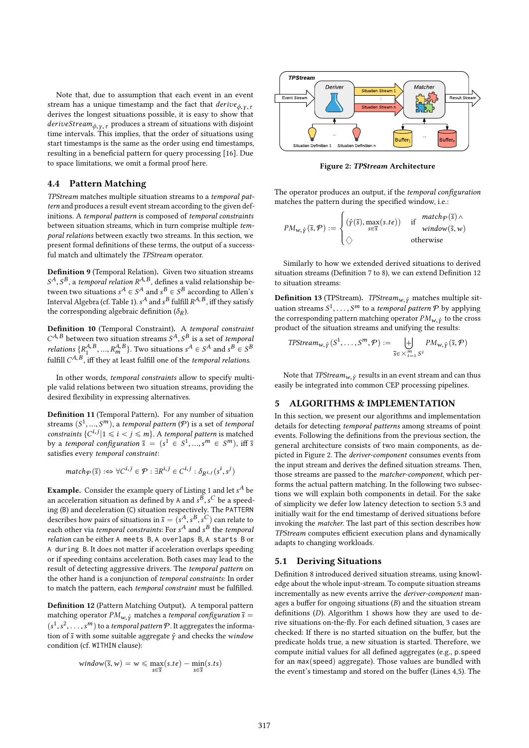Note that, due to assumption that each event in an event stream has a unique timestamp and the fact that  $derive_{\phi, V, \tau}$ derives the longest situations possible, it is easy to show that  $deriveStream_{\phi,\gamma,\tau}$  produces a stream of situations with disjoint time intervals. This implies, that the order of situations using start timestamps is the same as the order using end timestamps, resulting in a beneficial pattern for query processing [16]. Due to space limitations, we omit a formal proof here.

#### 4.4 Pattern Matching

TPStream matches multiple situation streams to a temporal pattern and produces a result event stream according to the given definitions. A temporal pattern is composed of temporal constraints between situation streams, which in turn comprise multiple temporal relations between exactly two streams. In this section, we present formal definitions of these terms, the output of a successful match and ultimately the TPStream operator.

Definition 9 (Temporal Relation). Given two situation streams  $S^A$ ,  $S^B$ , a temporal relation  $R^{A,B}$ , defines a valid relationship be-<br>tween two situations  $s^A \in S^A$  and  $s^B \in S^B$  according to Allen's tween two situations  $s^A \in S^A$  and  $s^B \in S^B$  according to Allen's<br>Interval Algebra (cf. Table 1), c<sup>4</sup> and c<sup>B</sup> fulfill  $P^{A,B}$  iff they satisfy Interval Algebra (cf. Table 1).  $s^A$  and  $s^B$  fulfill  $R^{A, B}$ , iff they satisfy<br>the corresponding algebraic definition  $(\delta_0)$ the corresponding algebraic definition ( $\delta_R$ ).

Definition 10 (Temporal Constraint). A temporal constraint  $C^{A,B}$  between two situation streams  $S^A$ ,  $S^B$  is a set of temporal<br>relations  $(D^{A,B} - D^{A,B})$ . Two situations  $A \subseteq S^A$  and  $S^B \subseteq S^B$ relations  $\{R_1^{A,B},...,R_m^{A,B}\}$ . Two situations  $s^A \in S^A$  and  $s^B \in S^B$ <br>f. 1611  $C^A B$  iff that at local fulfill are of the temperal relations fulfill  $C^{A, B}$ , iff they at least fulfill one of the *temporal relations*.

In other words, temporal constraints allow to specify multiple valid relations between two situation streams, providing the desired flexibility in expressing alternatives.

Definition 11 (Temporal Pattern). For any number of situation streams  $(S^1, ..., S^m)$ , a temporal pattern  $(P)$  is a set of temporal<br>constraints  $(C^i, j \mid 1 \le i \le m)$ . A temporal pattern is matched constraints  $\{C^{i,j}|1 \le i < j \le m\}$ . A temporal pattern is matched<br>by a temporal configuration  $\bar{s} = (s^1 \in S^1 \text{ s}^m \in S^m)$  iff  $\bar{s}$ by a temporal configuration  $\bar{s} = (s^1 \in S^1)$ <br>satisfies every temporal constraint:  $,..., s^m \in S^m$ ), iff s satisfies every temporal constraint:

$$
match\varphi(\bar{s}) :\Leftrightarrow \forall C^{l,j} \in \mathcal{P} : \exists R^{l,j} \in C^{l,j} : \delta_{R^{i,j}}(s^l, s^j)
$$

**Example.** Consider the example query of Listing 1 and let  $s^A$  be a procedure that it is a small set of the second an acceleration situation as defined by A and  $s^B$ ,  $s^C$  be a speed-<br>ing (B) and deceleration (C) situation respectively. The PATTEPN an acceleration situation as defined by A and s , s be a speed-<br>ing (B) and deceleration (C) situation respectively. The PATTERN describes how pairs of situations in  $\overline{s} = (s^A, s^B, s^C)$  can relate to each other via temporal constraints: For  $s^A$  and  $s^B$  the temporal describes now pairs of situations in  $s = (s^2, s^2, s^2)$  can relate to<br>each other via *temporal constraints*: For  $s^A$  and  $s^B$  the *temporal*<br>relation can be either  $\land$  meets. B.  $\land$  overlaps. B.  $\land$  starts. B. or relation can be either A meets B, A overlaps B, A starts B or A during B. It does not matter if acceleration overlaps speeding or if speeding contains acceleration. Both cases may lead to the result of detecting aggressive drivers. The temporal pattern on the other hand is a conjunction of temporal constraints: In order to match the pattern, each temporal constraint must be fulfilled.

Definition 12 (Pattern Matching Output). A temporal pattern matching operator  $PM_{w, \hat{y}}$  matches a temporal configuration  $\bar{s} =$  $(s^1, s^2, \ldots, s^m)$  to a temporal pattern P. It aggregates the informa-<br>tion of  $\overline{s}$  with some suitable aggregate  $\hat{y}$  and checks the window  $\lim_{\delta \to 0} \frac{\delta}{\delta}$  with some suitable aggregate  $\hat{\gamma}$  and checks the window<br>condition (of WTHIN clause). condition (cf. WITHIN clause):

$$
window(\overline{s}, w) = w \leq \max_{s \in \overline{s}} (s.te) - \min_{s \in \overline{s}} (s.ts)
$$



Figure 2: TPStream Architecture

The operator produces an output, if the *temporal configuration* matches the pattern during the specified window, i.e.: \$

$$
PM_{w,\hat{Y}}(\overline{s},\mathcal{P}) := \begin{cases} (\hat{Y}(\overline{s}), \max_{s \in \overline{s}}(s,te)) & \text{if } \frac{match_{\mathcal{P}}(\overline{s}) \wedge \text{window}(\overline{s},w)}{\text{window}(\overline{s},w)} \\ \wedge & \text{otherwise} \end{cases}
$$

Similarly to how we extended derived situations to derived situation streams (Definition 7 to 8), we can extend Definition 12 to situation streams:

**Definition 13** (TPStream). TPStream<sub>w,  $\hat{y}$  matches multiple sit-</sub> uation streams  $S^1, \ldots, S^m$  to a *temporal pattern*  $\mathcal P$  by applying the corresponding pattern matching operator  $\mathcal PM$  , a to the cross the corresponding pattern matching operator  $PM_{w, \hat{y}}$  to the cross<br>product of the situation streams and unifying the results: product of the situation streams and unifying the results: ě

$$
TPStream_{w,\hat{Y}}(S^1,\ldots,S^m,\mathcal{P}) := \biguplus_{\overline{S} \in \times_{i=1}^m S^i} PM_{w,\hat{Y}}(\overline{S},\mathcal{P})
$$

Note that *TPStream<sub>w,*  $\hat{y}$  results in an event stream and can thus  $\hat{y}$  in the common CEP processing pinelines</sub> easily be integrated into common CEP processing pipelines.

# 5 ALGORITHMS & IMPLEMENTATION

In this section, we present our algorithms and implementation details for detecting temporal patterns among streams of point events. Following the definitions from the previous section, the general architecture consists of two main components, as depicted in Figure 2. The deriver-component consumes events from the input stream and derives the defined situation streams. Then, those streams are passed to the matcher-component, which performs the actual pattern matching. In the following two subsections we will explain both components in detail. For the sake of simplicity we defer low latency detection to section 5.3 and initially wait for the end timestamp of derived situations before invoking the matcher. The last part of this section describes how TPStream computes efficient execution plans and dynamically adapts to changing workloads.

## 5.1 Deriving Situations

Definition 8 introduced derived situation streams, using knowledge about the whole input-stream. To compute situation streams incrementally as new events arrive the *deriver-component* manages a buffer for ongoing situations  $(B)$  and the situation stream definitions (D). Algorithm 1 shows how they are used to derive situations on-the-fly. For each defined situation, 3 cases are checked: If there is no started situation on the buffer, but the predicate holds true, a new situation is started. Therefore, we compute initial values for all defined aggregates (e.g., <sup>p</sup>.speed for an  $max(speed)$  aggregate). Those values are bundled with the event's timestamp and stored on the buffer (Lines 4,5). The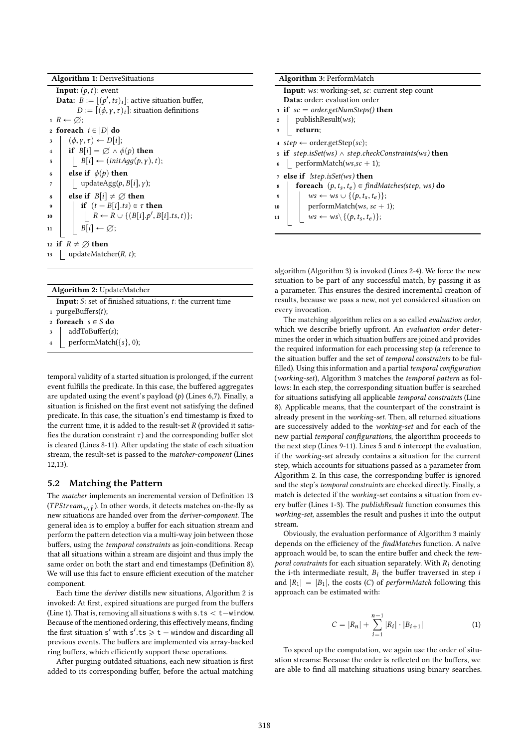Algorithm 1: DeriveSituations

**Input:**  $(p, t)$ : event **Data:**  $B := [(p', ts)_i]$ : active situation buffer,<br> $D := [(p', ts)_i]$ : situation definitions  $D := [(\phi, \gamma, \tau)_i]$ : situation definitions  $1 R \leftarrow \emptyset;$ 2 foreach  $i \in |D|$  do<br>3  $\phi(x, \tau) \leftarrow D[i]$ 3  $(\phi, \gamma, \tau) \leftarrow D[i];$ <br>4 **if**  $B[i] = \emptyset \wedge d$ 4 if  $B[i] = \varnothing \wedge \phi(p)$  then<br>5  $\qquad$   $B[i] \leftarrow (initAaa(p, v)).$ 5  $\left[\begin{array}{c}B[i] \leftarrow (initAgg(p, \gamma), t);\\B[\text{else if }\phi(p) \text{ then}\end{array}\right]$ 6 else if  $\phi(p)$  then<br>7 undate  $\phi(p)$ . <sup>7</sup>  $\left[\begin{array}{c} \text{updateAgg}(p, B[i], \gamma); \end{array}\right]$ <br>**8 else if**  $B[i] \neq \emptyset$  **then** 8 else if  $B[i] \neq \emptyset$  then<br>9 if  $(t - B[i].ts) \in \tau$ 9 if  $(t - B[i].ts) \in \tau$  then<br>then  $B \leftarrow B \cup \{(B[i], b' | B[i]]\}$ 10  $\Big|\Big| \Big| R \leftarrow R \cup \{ (B[i], p', B[i].ts, t) \};$ 11 |  $B[i] \leftarrow \emptyset;$ 12 if  $R \neq \emptyset$  then<br>13 | updateMatcl updateMatcher $(R, t)$ ;

Algorithm 2: UpdateMatcher

**Input:**  $S$ : set of finished situations,  $t$ : the current time 1 purgeBuffers $(t)$ ; 2 foreach  $s \in S$  do addToBuffer(s); performMatch $({s}, 0)$ ;

temporal validity of a started situation is prolonged, if the current

event fulfills the predicate. In this case, the buffered aggregates are updated using the event's payload  $(p)$  (Lines 6,7). Finally, a situation is finished on the first event not satisfying the defined predicate. In this case, the situation's end timestamp is fixed to the current time, it is added to the result-set  $R$  (provided it satisfies the duration constraint  $\tau$ ) and the corresponding buffer slot is cleared (Lines 8-11). After updating the state of each situation stream, the result-set is passed to the matcher-component (Lines 12,13).

## 5.2 Matching the Pattern

The matcher implements an incremental version of Definition 13 (*TPStream<sub>w,*  $\hat{y}$ ). In other words, it detects matches on-the-fly as new situations are handed over from the *deriver-component* The</sub> new situations are handed over from the deriver-component. The general idea is to employ a buffer for each situation stream and perform the pattern detection via a multi-way join between those buffers, using the temporal constraints as join-conditions. Recap that all situations within a stream are disjoint and thus imply the same order on both the start and end timestamps (Definition 8). We will use this fact to ensure efficient execution of the matcher component.

Each time the deriver distills new situations, Algorithm 2 is invoked: At first, expired situations are purged from the buffers (Line 1). That is, removing all situations  $s$  with  $s$ .ts  $<$  t-window. Because of the mentioned ordering, this effectively means, finding the first situation  $s'$  with  $s'.ts \geq t - w$  indow and discarding all<br>previous events. The buffers are implemented via array-backed previous events. The buffers are implemented via array-backed ring buffers, which efficiently support these operations.

After purging outdated situations, each new situation is first added to its corresponding buffer, before the actual matching

algorithm (Algorithm 3) is invoked (Lines 2-4). We force the new situation to be part of any successful match, by passing it as a parameter. This ensures the desired incremental creation of results, because we pass a new, not yet considered situation on every invocation.

The matching algorithm relies on a so called evaluation order, which we describe briefly upfront. An evaluation order determines the order in which situation buffers are joined and provides the required information for each processing step (a reference to the situation buffer and the set of temporal constraints to be fulfilled). Using this information and a partial temporal configuration (working-set), Algorithm 3 matches the temporal pattern as follows: In each step, the corresponding situation buffer is searched for situations satisfying all applicable temporal constraints (Line 8). Applicable means, that the counterpart of the constraint is already present in the working-set. Then, all returned situations are successively added to the working-set and for each of the new partial temporal configurations, the algorithm proceeds to the next step (Lines 9-11). Lines 5 and 6 intercept the evaluation, if the working-set already contains a situation for the current step, which accounts for situations passed as a parameter from Algorithm 2. In this case, the corresponding buffer is ignored and the step's temporal constraints are checked directly. Finally, a match is detected if the working-set contains a situation from every buffer (Lines 1-3). The publishResult function consumes this working-set, assembles the result and pushes it into the output stream.

Obviously, the evaluation performance of Algorithm 3 mainly depends on the efficiency of the findMatches function. A naïve approach would be, to scan the entire buffer and check the temporal constraints for each situation separately. With  $R_i$  denoting the i-th intermediate result,  $B_i$  the buffer traversed in step i and  $|R_1| = |B_1|$ , the costs (C) of *performMatch* following this approach can be estimated with:

$$
C = |R_n| + \sum_{i=1}^{n-1} |R_i| \cdot |B_{i+1}| \tag{1}
$$

To speed up the computation, we again use the order of situation streams: Because the order is reflected on the buffers, we are able to find all matching situations using binary searches.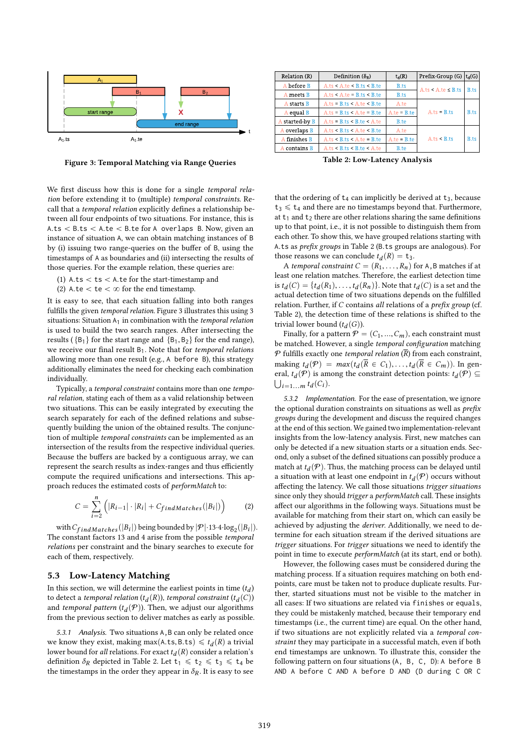

Figure 3: Temporal Matching via Range Queries

We first discuss how this is done for a single temporal relation before extending it to (multiple) temporal constraints. Recall that a temporal relation explicitly defines a relationship between all four endpoints of two situations. For instance, this is A.ts  $<$  B.ts  $<$  A.te  $<$  B.te for A overlaps B. Now, given an instance of situation A, we can obtain matching instances of B by (i) issuing two range-queries on the buffer of B, using the timestamps of A as boundaries and (ii) intersecting the results of those queries. For the example relation, these queries are:

(1) A.ts  $<$  ts  $<$  A.te for the start-timestamp and

(2) A.te  $<$  te  $<$   $\infty$  for the end timestamp.

It is easy to see, that each situation falling into both ranges fulfills the given temporal relation. Figure 3 illustrates this using 3 situations: Situation  $A_1$  in combination with the temporal relation is used to build the two search ranges. After intersecting the results ( ${B_1}$  for the start range and  ${B_1, B_2}$  for the end range), we receive our final result  $B_1$ . Note that for temporal relations allowing more than one result (e.g., A before B), this strategy additionally eliminates the need for checking each combination individually.

Typically, a temporal constraint contains more than one temporal relation, stating each of them as a valid relationship between two situations. This can be easily integrated by executing the search separately for each of the defined relations and subsequently building the union of the obtained results. The conjunction of multiple temporal constraints can be implemented as an intersection of the results from the respective individual queries. Because the buffers are backed by a contiguous array, we can represent the search results as index-ranges and thus efficiently compute the required unifications and intersections. This approach reduces the estimated costs of performMatch to:

$$
C = \sum_{i=2}^{n} \left( |R_{i-1}| \cdot |R_i| + C_{findMatches}(|B_i|) \right) \tag{2}
$$

with  $C_{findMatches}(|B_i|)$  being bounded by  $|\mathcal{P}| \cdot 13 \cdot 4 \cdot \log_2(|B_i|)$ .<br>e constant factors 13 and 4 arise from the possible *temporal* The constant factors 13 and 4 arise from the possible temporal relations per constraint and the binary searches to execute for each of them, respectively.

#### 5.3 Low-Latency Matching

In this section, we will determine the earliest points in time  $(t_d)$ <br>to detect a temporal relation  $(t_1(R))$  temporal constraint  $(t_1(C))$ to detect a temporal relation  $(t_d(R))$ , temporal constraint  $(t_d(C))$ <br>and temporal pattern  $(t_d(P))$ . Then, we adjust our algorithms and *temporal pattern*  $(t_d(\mathcal{P}))$ . Then, we adjust our algorithms from the previous section to deliver matches as early as possible from the previous section to deliver matches as early as possible.

5.3.1 Analysis. Two situations A,B can only be related once we know they exist, making max(A.ts, B.ts)  $\leq t_d(R)$  a trivial lower bound for all relations For exact t  $\iota(R)$  consider a relation's lower bound for all relations. For exact  $t_d(R)$  consider a relation's<br>definition  $\delta_P$  depicted in Table 2. Let  $t_1 \leq t_2 \leq t_3 \leq t_4$ , be definition  $\delta_R$  depicted in Table 2. Let  $t_1 \leq t_2 \leq t_3 \leq t_4$  be the timestamps in the order they appear in  $\delta_R$ . It is easy to see

| Relation (R)<br>Definition $(\delta_{R})$ |                                 | $t_d(R)$            | Prefix-Group (G) $ t_d(G) $ |              |
|-------------------------------------------|---------------------------------|---------------------|-----------------------------|--------------|
| A before B                                | A.ts < A(te < B.ts < B(te       | <b>B.ts</b>         | A.ts < A.test ≤ B.ts        | <b>B</b> .ts |
| A meets B                                 | $A.ts < A(te = B.ts < B(te$     | <b>B.ts</b>         |                             |              |
| A starts B                                | $A.ts = B.ts < A.test < B.test$ | A.te                |                             |              |
| A equal B                                 | $A.ts = B.ts < A.te = B.te$     | $Aite = Bite$       | $A.ts = B.ts$               | B.ts         |
| A started-by B                            | $A.ts = B.ts < B.test < A.test$ | B.te                |                             |              |
| A overlaps B                              | A.ts < B.ts < A.test < B.te     | A.te                |                             |              |
| A finishes B                              | $A.ts < B.ts < A.te = B.te$     | $A_{i}te = B_{i}te$ | A.ts < B.ts                 | <b>B.ts</b>  |
| A contains B                              | A.ts < B.ts < B(te < A(te       | B.te                |                             |              |

Table 2: Low-Latency Analysis

that the ordering of  $t_4$  can implicitly be derived at  $t_3$ , because  $t_3 \leq t_4$  and there are no timestamps beyond that. Furthermore, at  $t_1$  and  $t_2$  there are other relations sharing the same definitions up to that point, i.e., it is not possible to distinguish them from each other. To show this, we have grouped relations starting with <sup>A</sup>.ts as prefix groups in Table 2 (B.ts groups are analogous). For those reasons we can conclude  $t_d(R) = t_3$ .<br>A temporal constraint  $C - (R_1 - R_2)$ .

A temporal constraint  $C = (R_1, \ldots, R_n)$  for A,B matches if at least one relation matches. Therefore, the earliest detection time is  $t_d(C) = \{t_d(R_1), \ldots, t_d(R_n)\}\$ . Note that  $t_d(C)$  is a set and the actual detection time of two situations depends on the fulfilled actual detection time of two situations depends on the fulfilled relation. Further, if  $C$  contains all relations of a prefix group (cf. Table 2), the detection time of these relations is shifted to the trivial lower bound  $(t_d(G))$ .<br>Finally for a pattern  $\mathcal{P}$ 

Finally, for a pattern  $P = (C_1, ..., C_m)$ , each constraint must be matched. However, a single temporal configuration matching  $P$  fulfills exactly one temporal relation  $(\overline{R})$  from each constraint, making  $t_d(P) = max(t_d(\overline{R} \in C_1), \dots, t_d(\overline{R} \in C_m))$ . In general  $t_t(P)$  is among the constraint detection points:  $t_t(P) \subset$ eral,  $t_d(P)$  is among the constraint detection points:  $t_d(P) \subseteq$  $\big|_{i=1...m} t_d(C_i).$ 

5.3.2 Implementation. For the ease of presentation, we ignore the optional duration constraints on situations as well as *prefix* groups during the development and discuss the required changes at the end of this section. We gained two implementation-relevant insights from the low-latency analysis. First, new matches can only be detected if a new situation starts or a situation ends. Second, only a subset of the defined situations can possibly produce a match at  $t_d(\mathcal{P})$ . Thus, the matching process can be delayed until<br>a situation with at least one endpoint in  $t_d(\mathcal{P})$  occurs without a situation with at least one endpoint in  $t_d(P)$  occurs without affecting the latency. We call those situations *trigger situations* affecting the latency. We call those situations trigger situations since only they should trigger a performMatch call. These insights affect our algorithms in the following ways. Situations must be available for matching from their start on, which can easily be achieved by adjusting the deriver. Additionally, we need to determine for each situation stream if the derived situations are trigger situations. For trigger situations we need to identify the point in time to execute performMatch (at its start, end or both).

However, the following cases must be considered during the matching process. If a situation requires matching on both endpoints, care must be taken not to produce duplicate results. Further, started situations must not be visible to the matcher in all cases: If two situations are related via finishes or equals, they could be mistakenly matched, because their temporary end timestamps (i.e., the current time) are equal. On the other hand, if two situations are not explicitly related via a temporal constraint they may participate in a successful match, even if both end timestamps are unknown. To illustrate this, consider the following pattern on four situations (A, B, C, D): A before B AND A before C AND A before D AND (D during C OR C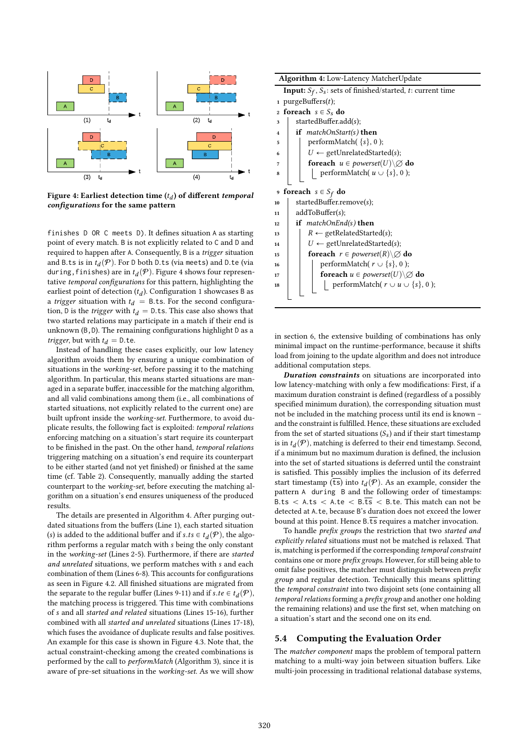

Figure 4: Earliest detection time  $(t_d)$  of different *temporal*<br>configurations for the same pattern configurations for the same pattern

finishes D OR C meets D). It defines situation A as starting point of every match. B is not explicitly related to C and D and required to happen after A. Consequently, B is a trigger situation and B.ts is in  $t_d(P)$ . For D both D.ts (via meets) and D.te (via during finishes) are in  $t_a(P)$ . Figure 4 shows four represent during, finishes) are in  $t_d(\mathcal{P})$ . Figure 4 shows four representative temporal configurations for this pattern, highlighting the tative temporal configurations for this pattern, highlighting the earliest point of detection  $(t_d)$ . Configuration 1 showcases B as<br>a trigger situation with  $t_t = B$  ts. For the second configuraa trigger situation with  $t_d = B$ .ts. For the second configuration, D is the *trigger* with  $t_d = D$ .ts. This case also shows that two started relations may participate in a match if their end is unknown (B,D). The remaining configurations highlight D as a *trigger*, but with  $t_d = 0$ .te.

Instead of handling these cases explicitly, our low latency algorithm avoids them by ensuring a unique combination of situations in the working-set, before passing it to the matching algorithm. In particular, this means started situations are managed in a separate buffer, inaccessible for the matching algorithm, and all valid combinations among them (i.e., all combinations of started situations, not explicitly related to the current one) are built upfront inside the working-set. Furthermore, to avoid duplicate results, the following fact is exploited: temporal relations enforcing matching on a situation's start require its counterpart to be finished in the past. On the other hand, temporal relations triggering matching on a situation's end require its counterpart to be either started (and not yet finished) or finished at the same time (cf. Table 2). Consequently, manually adding the started counterpart to the working-set, before executing the matching algorithm on a situation's end ensures uniqueness of the produced results.

The details are presented in Algorithm 4. After purging outdated situations from the buffers (Line 1), each started situation (s) is added to the additional buffer and if  $s.ts \in t_d(P)$ , the algo-<br>rithm performs a regular match with s being the only constant rithm performs a regular match with s being the only constant in the working-set (Lines 2-5). Furthermore, if there are started and unrelated situations, we perform matches with s and each combination of them (Lines 6-8). This accounts for configurations as seen in Figure 4.2. All finished situations are migrated from the separate to the regular buffer (Lines 9-11) and if  $s.te \in t_d(P)$ ,<br>the matching process is triggered. This time with combinations the matching process is triggered. This time with combinations of s and all started and related situations (Lines 15-16), further combined with all started and unrelated situations (Lines 17-18), which fuses the avoidance of duplicate results and false positives. An example for this case is shown in Figure 4.3. Note that, the actual constraint-checking among the created combinations is performed by the call to performMatch (Algorithm 3), since it is aware of pre-set situations in the working-set. As we will show

|                     | <b>Algorithm 4:</b> Low-Latency MatcherUpdate                                   |
|---------------------|---------------------------------------------------------------------------------|
|                     | <b>Input:</b> $S_f$ , $S_s$ : sets of finished/started, <i>t</i> : current time |
|                     | 1 purgeBuffers $(t)$ ;                                                          |
|                     | 2 foreach $s \in S_s$ do                                                        |
| 3                   | $\text{startedBuffer.add}(s);$                                                  |
| $\overline{\bf{4}}$ | if matchOnStart(s) then                                                         |
| 5                   | performMatch( $\{s\}$ , 0);                                                     |
| 6                   | $U \leftarrow$ getUnrelatedStarted(s);                                          |
| 7                   | foreach $u \in powerset(U) \setminus \emptyset$ do                              |
| 8                   | performMatch( $u \cup \{s\}$ , 0);                                              |
|                     |                                                                                 |
| 9                   | <b>foreach</b> $s \in S_f$ do                                                   |
| 10                  | startedBuffer.remove(s);                                                        |
| 11                  | addToBuffer(s);                                                                 |
| 12                  | if matchOnEnd(s) then                                                           |
| 13                  | $R \leftarrow$ getRelatedStarted(s);                                            |
| 14                  | $U \leftarrow$ getUnrelatedStarted(s);                                          |
| 15                  | <b>foreach</b> $r \in powerset(R) \setminus \emptyset$ do                       |
| 16                  | performMatch( $r \cup \{s\}, 0$ );                                              |
| 17                  | foreach $u \in powerset(U) \setminus \emptyset$ do                              |
| 18                  | performMatch( $r \cup u \cup \{s\}, 0$ );                                       |
|                     |                                                                                 |
|                     |                                                                                 |

in section 6, the extensive building of combinations has only minimal impact on the runtime-performance, because it shifts load from joining to the update algorithm and does not introduce additional computation steps.

Duration constraints on situations are incorporated into low latency-matching with only a few modifications: First, if a maximum duration constraint is defined (regardless of a possibly specified minimum duration), the corresponding situation must not be included in the matching process until its end is known – and the constraint is fulfilled. Hence, these situations are excluded from the set of started situations  $(S_s)$  and if their start timestamp is in  $t_d(P)$ , matching is deferred to their end timestamp. Second, if a minimum but no maximum duration is defined, the inclusion if a minimum but no maximum duration is defined, the inclusion into the set of started situations is deferred until the constraint is satisfied. This possibly implies the inclusion of its deferred start timestamp ( $\overline{ts}$ ) into  $t_d(P)$ . As an example, consider the pattern  $\Lambda$ , during, B and the following order of timestamps pattern A during B and the following order of timestamps: B.ts  $\lt$  A.ts  $\lt$  A.te  $\lt$  B.ts  $\lt$  B.te. This match can not be detected at <sup>A</sup>.te, because <sup>B</sup>'s duration does not exceed the lower bound at this point. Hence  $B.\overline{ts}$  requires a matcher invocation.

To handle prefix groups the restriction that two started and explicitly related situations must not be matched is relaxed. That is, matching is performed if the corresponding temporal constraint contains one or more prefix groups. However, for still being able to omit false positives, the matcher must distinguish between prefix group and regular detection. Technically this means splitting the temporal constraint into two disjoint sets (one containing all temporal relations forming a prefix group and another one holding the remaining relations) and use the first set, when matching on a situation's start and the second one on its end.

# 5.4 Computing the Evaluation Order

The matcher component maps the problem of temporal pattern matching to a multi-way join between situation buffers. Like multi-join processing in traditional relational database systems,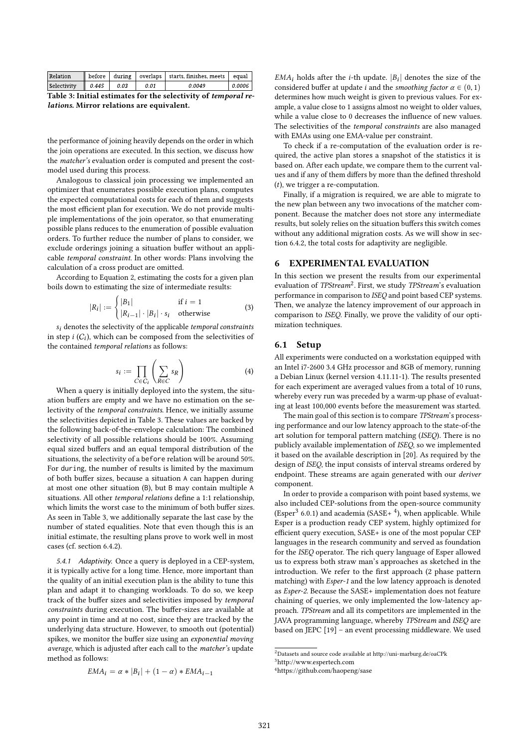| <b>Relation</b> |       |      |      | before during overlaps starts, finishes, meets equal |        |
|-----------------|-------|------|------|------------------------------------------------------|--------|
| Selectivity     | 0.445 | 0.03 | 0.01 | 0.0049                                               | 0.0006 |
|                 |       |      |      |                                                      |        |

Table 3: Initial estimates for the selectivity of temporal relations. Mirror relations are equivalent.

the performance of joining heavily depends on the order in which the join operations are executed. In this section, we discuss how the matcher's evaluation order is computed and present the costmodel used during this process.

Analogous to classical join processing we implemented an optimizer that enumerates possible execution plans, computes the expected computational costs for each of them and suggests the most efficient plan for execution. We do not provide multiple implementations of the join operator, so that enumerating possible plans reduces to the enumeration of possible evaluation orders. To further reduce the number of plans to consider, we exclude orderings joining a situation buffer without an applicable temporal constraint. In other words: Plans involving the calculation of a cross product are omitted.

According to Equation 2, estimating the costs for a given plan boils down to estimating the size of intermediate results:

 $\overline{\phantom{a}}$ 

$$
R_i| := \begin{cases} |B_1| & \text{if } i = 1\\ |R_{i-1}| \cdot |B_i| \cdot s_i & \text{otherwise} \end{cases}
$$
(3)

 $s_i$  denotes the selectivity of the applicable *temporal constraints*<br>step  $i(C_i)$  which can be composed from the selectivities of in step *i*  $(C_i)$ , which can be composed from the selectivities of the contained *temporal relations* as follows: the contained temporal relations as follows:

$$
s_i := \prod_{C \in C_i} \left( \sum_{R \in C} s_R \right) \tag{4}
$$

 $C \in C_i$  \R $\in C$ <br>When a query is initially deployed into the system, the situation buffers are empty and we have no estimation on the selectivity of the temporal constraints. Hence, we initially assume the selectivities depicted in Table 3. These values are backed by the following back-of-the-envelope calculation: The combined selectivity of all possible relations should be 100%. Assuming equal sized buffers and an equal temporal distribution of the situations, the selectivity of a before relation will be around 50%. For during, the number of results is limited by the maximum of both buffer sizes, because a situation A can happen during at most one other situation (B), but B may contain multiple A situations. All other temporal relations define a 1:1 relationship, which limits the worst case to the minimum of both buffer sizes. As seen in Table 3, we additionally separate the last case by the number of stated equalities. Note that even though this is an initial estimate, the resulting plans prove to work well in most cases (cf. section 6.4.2).

5.4.1 Adaptivity. Once a query is deployed in a CEP-system, it is typically active for a long time. Hence, more important than the quality of an initial execution plan is the ability to tune this plan and adapt it to changing workloads. To do so, we keep track of the buffer sizes and selectivities imposed by temporal constraints during execution. The buffer-sizes are available at any point in time and at no cost, since they are tracked by the underlying data structure. However, to smooth out (potential) spikes, we monitor the buffer size using an exponential moving average, which is adjusted after each call to the matcher's update method as follows:

$$
EMA_i = \alpha * |B_i| + (1 - \alpha) * EMA_{i-1}
$$

 $EMA_i$  holds after the *i*-th update.  $|B_i|$  denotes the size of the considered buffer at update *i* and the smoothing factor  $\alpha \in (0, 1)$ considered buffer at update *i* and the *smoothing factor*  $\alpha \in (0, 1)$ determines how much weight is given to previous values. For example, a value close to 1 assigns almost no weight to older values, while a value close to 0 decreases the influence of new values. The selectivities of the temporal constraints are also managed with EMAs using one EMA-value per constraint.

To check if a re-computation of the evaluation order is required, the active plan stores a snapshot of the statistics it is based on. After each update, we compare them to the current values and if any of them differs by more than the defined threshold  $(t)$ , we trigger a re-computation.

Finally, if a migration is required, we are able to migrate to the new plan between any two invocations of the matcher component. Because the matcher does not store any intermediate results, but solely relies on the situation buffers this switch comes without any additional migration costs. As we will show in section 6.4.2, the total costs for adaptivity are negligible.

#### 6 EXPERIMENTAL EVALUATION

In this section we present the results from our experimental evaluation of TPStream<sup>2</sup>. First, we study TPStream's evaluation performance in comparison to ISEQ and point based CEP systems. Then, we analyze the latency improvement of our approach in comparison to ISEQ. Finally, we prove the validity of our optimization techniques.

## 6.1 Setup

All experiments were conducted on a workstation equipped with an Intel i7-2600 3.4 GHz processor and 8GB of memory, running a Debian Linux (kernel version 4.11.11-1). The results presented for each experiment are averaged values from a total of 10 runs, whereby every run was preceded by a warm-up phase of evaluating at least 100,000 events before the measurement was started.

The main goal of this section is to compare TPStream's processing performance and our low latency approach to the state-of-the art solution for temporal pattern matching (ISEQ). There is no publicly available implementation of ISEQ, so we implemented it based on the available description in [20]. As required by the design of ISEQ, the input consists of interval streams ordered by endpoint. These streams are again generated with our *deriver* component.

In order to provide a comparison with point based systems, we also included CEP-solutions from the open-source community (Esper<sup>3</sup> 6.0.1) and academia (SASE+ $4$ ), when applicable. While Esper is a production ready CEP system, highly optimized for efficient query execution, SASE+ is one of the most popular CEP languages in the research community and served as foundation for the ISEQ operator. The rich query language of Esper allowed us to express both straw man's approaches as sketched in the introduction. We refer to the first approach (2 phase pattern matching) with Esper-1 and the low latency approach is denoted as Esper-2. Because the SASE+ implementation does not feature chaining of queries, we only implemented the low-latency approach. TPStream and all its competitors are implemented in the JAVA programming language, whereby TPStream and ISEQ are based on JEPC [19] – an event processing middleware. We used

 $^{2}$ Datasets and source code available at http://uni-marburg.de/oaCPk <sup>3</sup>http://www.espertech.com

<sup>4</sup>https://github.com/haopeng/sase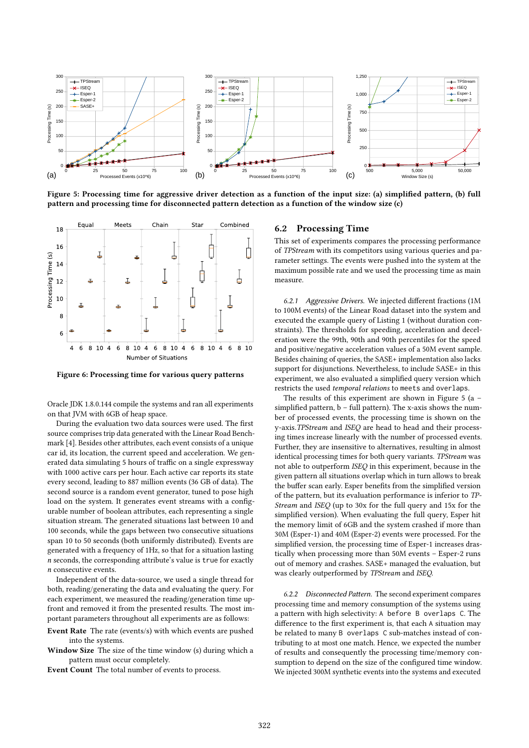

Figure 5: Processing time for aggressive driver detection as a function of the input size: (a) simplified pattern, (b) full pattern and processing time for disconnected pattern detection as a function of the window size (c)



Figure 6: Processing time for various query patterns

Oracle JDK 1.8.0.144 compile the systems and ran all experiments on that JVM with 6GB of heap space.

During the evaluation two data sources were used. The first source comprises trip data generated with the Linear Road Benchmark [4]. Besides other attributes, each event consists of a unique car id, its location, the current speed and acceleration. We generated data simulating 5 hours of traffic on a single expressway with 1000 active cars per hour. Each active car reports its state every second, leading to 887 million events (36 GB of data). The second source is a random event generator, tuned to pose high load on the system. It generates event streams with a configurable number of boolean attributes, each representing a single situation stream. The generated situations last between 10 and 100 seconds, while the gaps between two consecutive situations span 10 to 50 seconds (both uniformly distributed). Events are generated with a frequency of 1Hz, so that for a situation lasting n seconds, the corresponding attribute's value is true for exactly n consecutive events.

Independent of the data-source, we used a single thread for both, reading/generating the data and evaluating the query. For each experiment, we measured the reading/generation time upfront and removed it from the presented results. The most important parameters throughout all experiments are as follows:

Event Rate The rate (events/s) with which events are pushed into the systems.

Window Size The size of the time window (s) during which a pattern must occur completely.

Event Count The total number of events to process.

## 6.2 Processing Time

This set of experiments compares the processing performance of TPStream with its competitors using various queries and parameter settings. The events were pushed into the system at the maximum possible rate and we used the processing time as main measure.

6.2.1 Aggressive Drivers. We injected different fractions (1M to 100M events) of the Linear Road dataset into the system and executed the example query of Listing 1 (without duration constraints). The thresholds for speeding, acceleration and deceleration were the 99th, 90th and 90th percentiles for the speed and positive/negative acceleration values of a 50M event sample. Besides chaining of queries, the SASE+ implementation also lacks support for disjunctions. Nevertheless, to include SASE+ in this experiment, we also evaluated a simplified query version which restricts the used temporal relations to meets and overlaps.

The results of this experiment are shown in Figure 5 (a – simplified pattern, b – full pattern). The x-axis shows the number of processed events, the processing time is shown on the y-axis.TPStream and ISEQ are head to head and their processing times increase linearly with the number of processed events. Further, they are insensitive to alternatives, resulting in almost identical processing times for both query variants. TPStream was not able to outperform ISEQ in this experiment, because in the given pattern all situations overlap which in turn allows to break the buffer scan early. Esper benefits from the simplified version of the pattern, but its evaluation performance is inferior to TP-Stream and ISEQ (up to 30x for the full query and 15x for the simplified version). When evaluating the full query, Esper hit the memory limit of 6GB and the system crashed if more than 30M (Esper-1) and 40M (Esper-2) events were processed. For the simplified version, the processing time of Esper-1 increases drastically when processing more than 50M events – Esper-2 runs out of memory and crashes. SASE+ managed the evaluation, but was clearly outperformed by TPStream and ISEQ.

6.2.2 Disconnected Pattern. The second experiment compares processing time and memory consumption of the systems using a pattern with high selectivity: A before B overlaps C. The difference to the first experiment is, that each A situation may be related to many B overlaps C sub-matches instead of contributing to at most one match. Hence, we expected the number of results and consequently the processing time/memory consumption to depend on the size of the configured time window. We injected 300M synthetic events into the systems and executed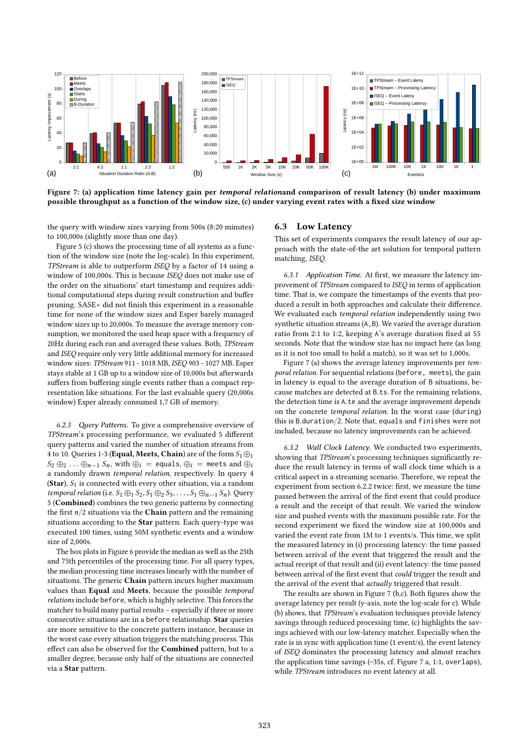

Figure 7: (a) application time latency gain per *temporal relationand* comparison of result latency (b) under maximum possible throughput as a function of the window size, (c) under varying event rates with a fixed size window

the query with window sizes varying from 500s (8:20 minutes) to 100,000s (slightly more than one day).

Figure 5 (c) shows the processing time of all systems as a function of the window size (note the log-scale). In this experiment, TPStream is able to outperform ISEQ by a factor of 14 using a window of 100,000s. This is because ISEQ does not make use of the order on the situations' start timestamp and requires additional computational steps during result construction and buffer pruning. SASE+ did not finish this experiment in a reasonable time for none of the window sizes and Esper barely managed window sizes up to 20,000s. To measure the average memory consumption, we monitored the used heap space with a frequency of 20Hz during each run and averaged these values. Both, TPStream and ISEQ require only very little additional memory for increased window sizes: TPStream 911 - 1018 MB, ISEQ 903 - 1027 MB. Esper stays stable at 1 GB up to a window size of 10,000s but afterwards suffers from buffering single events rather than a compact representation like situations. For the last evaluable query (20,000s window) Esper already consumed 1,7 GB of memory.

6.2.3 Query Patterns. To give a comprehensive overview of TPStream's processing performance, we evaluated 5 different query patterns and varied the number of situation streams from 4 to 10. Queries 1-3 (Equal, Meets, Chain) are of the form  $S_1 \oplus_1 I$  $S_2 \oplus_2 \ldots \oplus_{n-1} S_n$ , with  $\oplus_i =$  equals,  $\oplus_i =$  meets and  $\oplus_i$ a randomly drawn temporal relation, respectively. In query 4 (Star),  $S_1$  is connected with every other situation, via a random temporal relation (i.e.  $S_1 \oplus_1 S_2$ ,  $S_1 \oplus_2 S_3$ , ...,  $S_1 \oplus_{n-1} S_n$ ). Query 5 (Combined) combines the two generic patterns by connecting the first  $n/2$  situations via the **Chain** pattern and the remaining situations according to the Star pattern. Each query-type was executed 100 times, using 50M synthetic events and a window size of  $2,000s$ .

The box plots in Figure 6 provide the median as well as the 25th and 75th percentiles of the processing time. For all query types, the median processing time increases linearly with the number of situations. The generic Chain pattern incurs higher maximum values than Equal and Meets, because the possible temporal relations include before, which is highly selective. This forces the matcher to build many partial results – especially if three or more consecutive situations are in a before relationship. Star queries are more sensitive to the concrete pattern instance, because in the worst case every situation triggers the matching process. This effect can also be observed for the Combined pattern, but to a smaller degree, because only half of the situations are connected via a Star pattern.

#### 6.3 Low Latency

This set of experiments compares the result latency of our approach with the state-of-the art solution for temporal pattern matching, ISEQ.

6.3.1 Application Time. At first, we measure the latency improvement of TPStream compared to ISEQ in terms of application time. That is, we compare the timestamps of the events that produced a result in both approaches and calculate their difference. We evaluated each temporal relation independently using two synthetic situation streams (A,B). We varied the average duration ratio from 2:1 to 1:2, keeping A's average duration fixed at 55 seconds. Note that the window size has no impact here (as long as it is not too small to hold a match), so it was set to 1,000s.

Figure 7 (a) shows the average latency improvements per temporal relation. For sequential relations (before, meets), the gain in latency is equal to the average duration of B situations, because matches are detected at <sup>B</sup>.ts. For the remaining relations, the detection time is <sup>A</sup>.te and the average improvement depends on the concrete temporal relation. In the worst case (during) this is <sup>B</sup>.duration{2. Note that, equals and finishes were not included, because no latency improvements can be achieved.

6.3.2 Wall Clock Latency. We conducted two experiments, showing that TPStream's processing techniques significantly reduce the result latency in terms of wall clock time which is a critical aspect in a streaming scenario. Therefore, we repeat the experiment from section 6.2.2 twice: first, we measure the time passed between the arrival of the first event that could produce a result and the receipt of that result. We varied the window size and pushed events with the maximum possible rate. For the second experiment we fixed the window size at 100,000s and varied the event rate from 1M to 1 events/s. This time, we split the measured latency in (i) processing latency: the time passed between arrival of the event that triggered the result and the actual receipt of that result and (ii) event latency: the time passed between arrival of the first event that could trigger the result and the arrival of the event that *actually* triggered that result.

The results are shown in Figure 7 (b,c). Both figures show the average latency per result (y-axis, note the log-scale for c). While (b) shows, that TPStream's evaluation techniques provide latency savings through reduced processing time, (c) highlights the savings achieved with our low-latency matcher. Especially when the rate is in sync with application time (1 event/s), the event latency of ISEQ dominates the processing latency and almost reaches the application time savings (~35s, cf. Figure 7 a, 1:1, overlaps), while TPStream introduces no event latency at all.